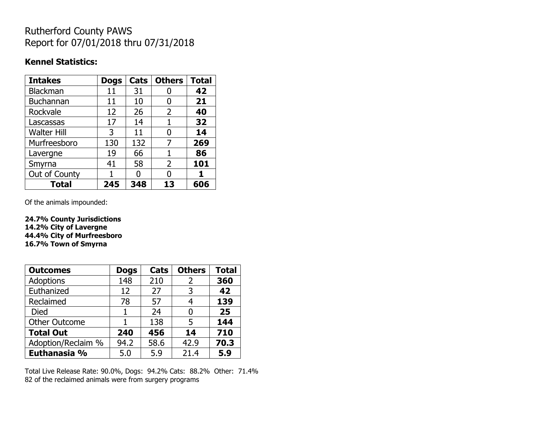## Rutherford County PAWS Report for 07/01/2018 thru 07/31/2018

## **Kennel Statistics:**

| <b>Intakes</b>     | <b>Dogs</b> | Cats | <b>Others</b> | <b>Total</b> |
|--------------------|-------------|------|---------------|--------------|
| Blackman           | 11          | 31   |               | 42           |
| <b>Buchannan</b>   | 11          | 10   | 0             | 21           |
| Rockvale           | 12          | 26   | 2             | 40           |
| Lascassas          | 17          | 14   | 1             | 32           |
| <b>Walter Hill</b> | 3           | 11   | 0             | 14           |
| Murfreesboro       | 130         | 132  | 7             | 269          |
| Lavergne           | 19          | 66   | 1             | 86           |
| Smyrna             | 41          | 58   | 2             | 101          |
| Out of County      |             | n    | N             |              |
| <b>Total</b>       | 245         | 348  | 13            | 606          |

Of the animals impounded:

**24.7% County Jurisdictions 14.2% City of Lavergne 44.4% City of Murfreesboro 16.7% Town of Smyrna**

| <b>Outcomes</b>      | <b>Dogs</b> | Cats | <b>Others</b> | <b>Total</b> |
|----------------------|-------------|------|---------------|--------------|
| Adoptions            | 148         | 210  | 2             | 360          |
| Euthanized           | 12          | 27   | 3             | 42           |
| Reclaimed            | 78          | 57   | 4             | 139          |
| <b>Died</b>          | 1           | 24   | O             | 25           |
| <b>Other Outcome</b> |             | 138  | 5             | 144          |
| <b>Total Out</b>     | 240         | 456  | 14            | 710          |
| Adoption/Reclaim %   | 94.2        | 58.6 | 42.9          | 70.3         |
| Euthanasia %         | 5.0         | 5.9  | 21.4          | 5.9          |

Total Live Release Rate: 90.0%, Dogs: 94.2% Cats: 88.2% Other: 71.4% 82 of the reclaimed animals were from surgery programs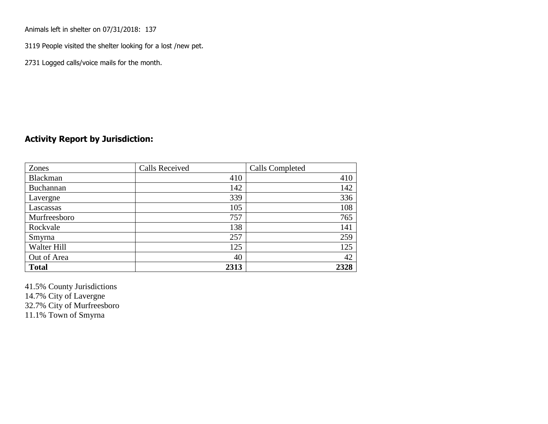Animals left in shelter on 07/31/2018: 137

3119 People visited the shelter looking for a lost /new pet.

2731 Logged calls/voice mails for the month.

## **Activity Report by Jurisdiction:**

| Zones           | Calls Received | Calls Completed |
|-----------------|----------------|-----------------|
| <b>Blackman</b> | 410            | 410             |
| Buchannan       | 142            | 142             |
| Lavergne        | 339            | 336             |
| Lascassas       | 105            | 108             |
| Murfreesboro    | 757            | 765             |
| Rockvale        | 138            | 141             |
| Smyrna          | 257            | 259             |
| Walter Hill     | 125            | 125             |
| Out of Area     | 40             | 42              |
| <b>Total</b>    | 2313           | 2328            |

41.5% County Jurisdictions

14.7% City of Lavergne

32.7% City of Murfreesboro

11.1% Town of Smyrna